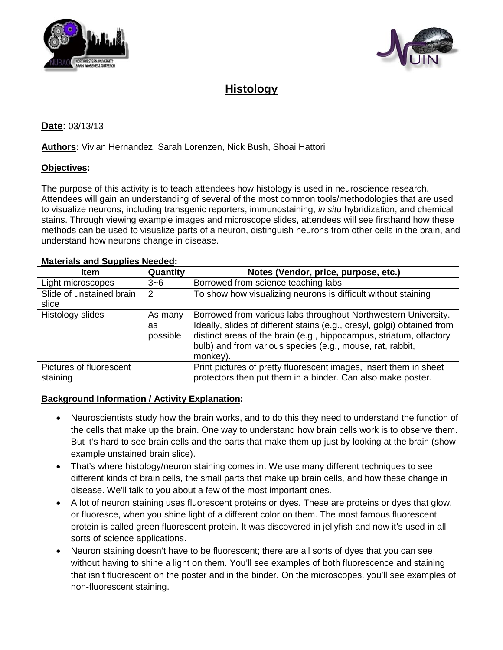



# **Histology**

# **Date**: 03/13/13

#### **Authors:** Vivian Hernandez, Sarah Lorenzen, Nick Bush, Shoai Hattori

#### **Objectives:**

The purpose of this activity is to teach attendees how histology is used in neuroscience research. Attendees will gain an understanding of several of the most common tools/methodologies that are used to visualize neurons, including transgenic reporters, immunostaining, *in situ* hybridization, and chemical stains. Through viewing example images and microscope slides, attendees will see firsthand how these methods can be used to visualize parts of a neuron, distinguish neurons from other cells in the brain, and understand how neurons change in disease.

| <b>Item</b>                       | Quantity                  | Notes (Vendor, price, purpose, etc.)                                                                                                                                                                                                                                                      |
|-----------------------------------|---------------------------|-------------------------------------------------------------------------------------------------------------------------------------------------------------------------------------------------------------------------------------------------------------------------------------------|
| Light microscopes                 | $3 - 6$                   | Borrowed from science teaching labs                                                                                                                                                                                                                                                       |
| Slide of unstained brain<br>slice | 2                         | To show how visualizing neurons is difficult without staining                                                                                                                                                                                                                             |
| Histology slides                  | As many<br>as<br>possible | Borrowed from various labs throughout Northwestern University.<br>Ideally, slides of different stains (e.g., cresyl, golgi) obtained from<br>distinct areas of the brain (e.g., hippocampus, striatum, olfactory<br>bulb) and from various species (e.g., mouse, rat, rabbit,<br>monkey). |
| Pictures of fluorescent           |                           | Print pictures of pretty fluorescent images, insert them in sheet                                                                                                                                                                                                                         |
| staining                          |                           | protectors then put them in a binder. Can also make poster.                                                                                                                                                                                                                               |

## **Materials and Supplies Needed :**

# **Background Information / Activity Explanation :**

- Neuroscientists study how the brain works, and to do this they need to understand the function of the cells that make up the brain. One way to understand how brain cells work is to observe them. But it's hard to see brain cells and the parts that make them up just by looking at the brain (show example unstained brain slice).
- That's where histology/neuron staining comes in. We use many different techniques to see different kinds of brain cells, the small parts that make up brain cells, and how these change in disease. We'll talk to you about a few of the most important ones.
- A lot of neuron staining uses fluorescent proteins or dyes. These are proteins or dyes that glow, or fluoresce, when you shine light of a different color on them. The most famous fluorescent protein is called green fluorescent protein. It was discovered in jellyfish and now it's used in all sorts of science applications.
- Neuron staining doesn't have to be fluorescent; there are all sorts of dyes that you can see without having to shine a light on them. You'll see examples of both fluorescence and staining that isn't fluorescent on the poster and in the binder. On the microscopes, you'll see examples of non-fluorescent staining.